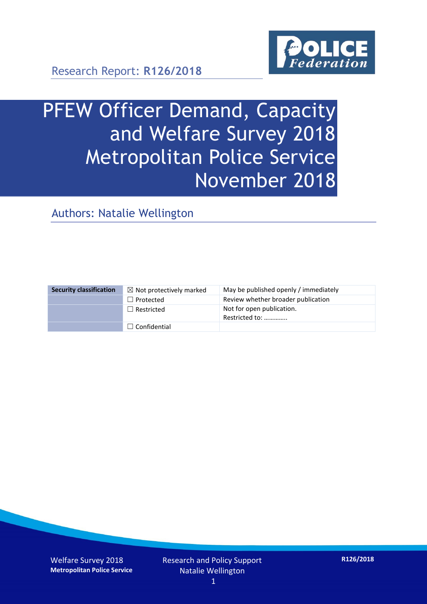

Research Report: **R126/2018**

# PFEW Officer Demand, Capacity and Welfare Survey 2018 Metropolitan Police Service November 2018

Authors: Natalie Wellington

| <b>Security classification</b> | $\boxtimes$ Not protectively marked | May be published openly / immediately       |
|--------------------------------|-------------------------------------|---------------------------------------------|
|                                | $\Box$ Protected                    | Review whether broader publication          |
|                                | $\Box$ Restricted                   | Not for open publication.<br>Restricted to: |
|                                | $\Box$ Confidential                 |                                             |

Welfare Survey 2018 **Metropolitan Police Service**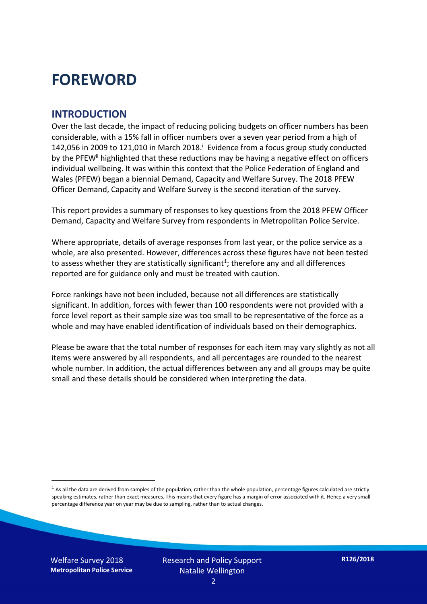## **FOREWORD**

#### **INTRODUCTION**

Over the last decade, the impact of reducing policing budgets on officer numbers has been considerable, with a 15% fall in officer numbers over a seven year period from a high of 142,056 in 2009 to 121,010 in March 2018. $^{\mathrm{i}}$  Evidence from a focus group study conducted by the PFEW<sup>ii</sup> highlighted that these reductions may be having a negative effect on officers individual wellbeing. It was within this context that the Police Federation of England and Wales (PFEW) began a biennial Demand, Capacity and Welfare Survey. The 2018 PFEW Officer Demand, Capacity and Welfare Survey is the second iteration of the survey.

This report provides a summary of responses to key questions from the 2018 PFEW Officer Demand, Capacity and Welfare Survey from respondents in Metropolitan Police Service.

Where appropriate, details of average responses from last year, or the police service as a whole, are also presented. However, differences across these figures have not been tested to assess whether they are statistically significant<sup>1</sup>; therefore any and all differences reported are for guidance only and must be treated with caution.

Force rankings have not been included, because not all differences are statistically significant. In addition, forces with fewer than 100 respondents were not provided with a force level report as their sample size was too small to be representative of the force as a whole and may have enabled identification of individuals based on their demographics.

Please be aware that the total number of responses for each item may vary slightly as not all items were answered by all respondents, and all percentages are rounded to the nearest whole number. In addition, the actual differences between any and all groups may be quite small and these details should be considered when interpreting the data.

Welfare Survey 2018 **Metropolitan Police Service**

-

 $<sup>1</sup>$  As all the data are derived from samples of the population, rather than the whole population, percentage figures calculated are strictly</sup> speaking estimates, rather than exact measures. This means that every figure has a margin of error associated with it. Hence a very small percentage difference year on year may be due to sampling, rather than to actual changes.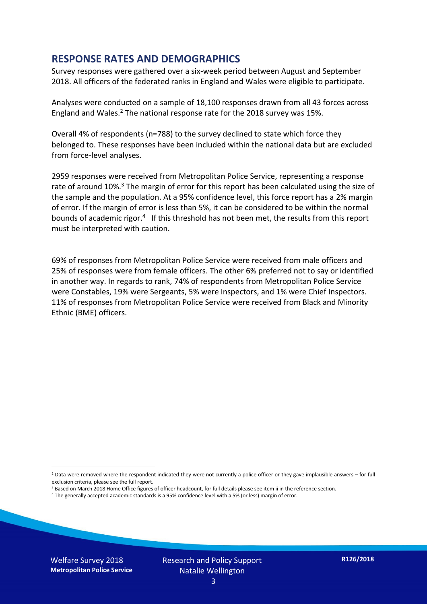#### **RESPONSE RATES AND DEMOGRAPHICS**

Survey responses were gathered over a six-week period between August and September 2018. All officers of the federated ranks in England and Wales were eligible to participate.

Analyses were conducted on a sample of 18,100 responses drawn from all 43 forces across England and Wales.<sup>2</sup> The national response rate for the 2018 survey was 15%.

Overall 4% of respondents (n=788) to the survey declined to state which force they belonged to. These responses have been included within the national data but are excluded from force-level analyses.

2959 responses were received from Metropolitan Police Service, representing a response rate of around 10%.<sup>3</sup> The margin of error for this report has been calculated using the size of the sample and the population. At a 95% confidence level, this force report has a 2% margin of error. If the margin of error is less than 5%, it can be considered to be within the normal bounds of academic rigor.<sup>4</sup> If this threshold has not been met, the results from this report must be interpreted with caution.

69% of responses from Metropolitan Police Service were received from male officers and 25% of responses were from female officers. The other 6% preferred not to say or identified in another way. In regards to rank, 74% of respondents from Metropolitan Police Service were Constables, 19% were Sergeants, 5% were Inspectors, and 1% were Chief Inspectors. 11% of responses from Metropolitan Police Service were received from Black and Minority Ethnic (BME) officers.

- <sup>3</sup> Based on March 2018 Home Office figures of officer headcount, for full details please see item ii in the reference section.
- <sup>4</sup> The generally accepted academic standards is a 95% confidence level with a 5% (or less) margin of error.

Welfare Survey 2018 **Metropolitan Police Service**

-

 $2$  Data were removed where the respondent indicated they were not currently a police officer or they gave implausible answers – for full exclusion criteria, please see the full report.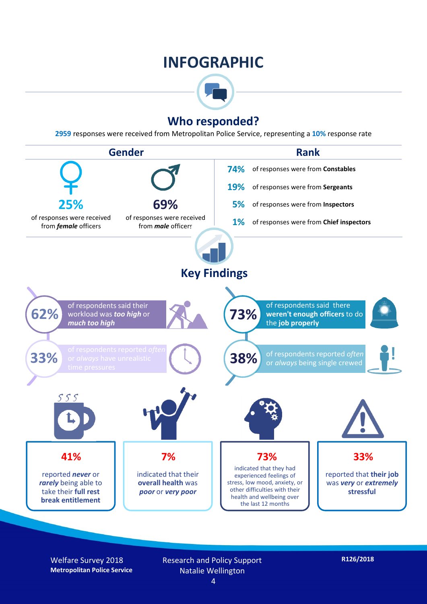### **INFOGRAPHIC**



### **Who responded?**

**2959** responses were received from Metropolitan Police Service, representing a **10%** response rate



Welfare Survey 2018 **Metropolitan Police Service** Research and Policy Support Natalie Wellington 4

**R126/2018**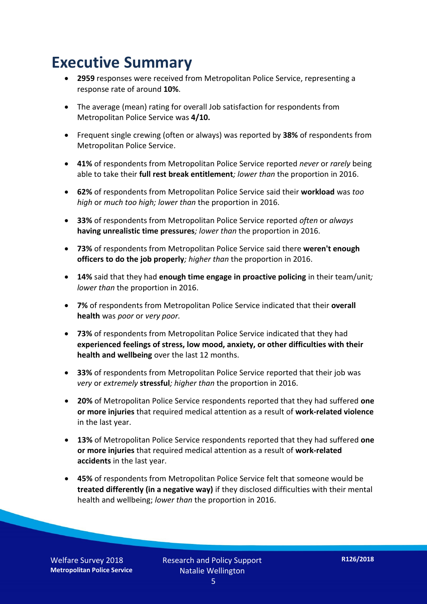## **Executive Summary**

- **2959** responses were received from Metropolitan Police Service, representing a response rate of around **10%**.
- The average (mean) rating for overall Job satisfaction for respondents from Metropolitan Police Service was **4/10.**
- Frequent single crewing (often or always) was reported by **38%** of respondents from Metropolitan Police Service.
- **41%** of respondents from Metropolitan Police Service reported *never* or *rarely* being able to take their **full rest break entitlement***; lower than* the proportion in 2016.
- **62%** of respondents from Metropolitan Police Service said their **workload** was *too high* or *much too high; lower than* the proportion in 2016.
- **33%** of respondents from Metropolitan Police Service reported *often* or *always* **having unrealistic time pressures***; lower than* the proportion in 2016.
- **73%** of respondents from Metropolitan Police Service said there **weren't enough officers to do the job properly***; higher than* the proportion in 2016.
- **14%** said that they had **enough time engage in proactive policing** in their team/unit*; lower than* the proportion in 2016.
- **7%** of respondents from Metropolitan Police Service indicated that their **overall health** was *poor* or *very poor.*
- **73%** of respondents from Metropolitan Police Service indicated that they had **experienced feelings of stress, low mood, anxiety, or other difficulties with their health and wellbeing** over the last 12 months.
- **33%** of respondents from Metropolitan Police Service reported that their job was *very* or *extremely* **stressful***; higher than* the proportion in 2016.
- **20%** of Metropolitan Police Service respondents reported that they had suffered **one or more injuries** that required medical attention as a result of **work-related violence**  in the last year.
- **13%** of Metropolitan Police Service respondents reported that they had suffered **one or more injuries** that required medical attention as a result of **work-related accidents** in the last year.
- **45%** of respondents from Metropolitan Police Service felt that someone would be **treated differently (in a negative way)** if they disclosed difficulties with their mental health and wellbeing; *lower than* the proportion in 2016.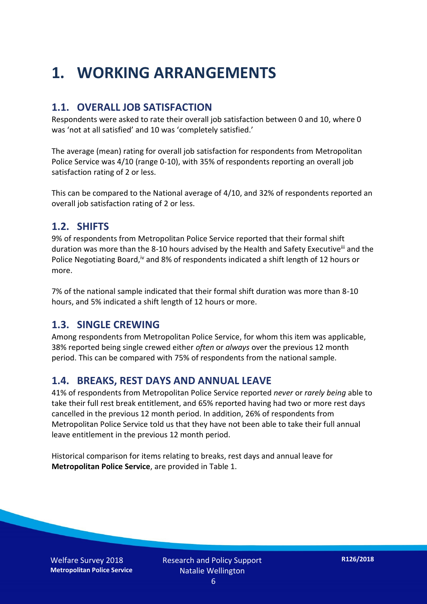## **1. WORKING ARRANGEMENTS**

#### **1.1. OVERALL JOB SATISFACTION**

Respondents were asked to rate their overall job satisfaction between 0 and 10, where 0 was 'not at all satisfied' and 10 was 'completely satisfied.'

The average (mean) rating for overall job satisfaction for respondents from Metropolitan Police Service was 4/10 (range 0-10), with 35% of respondents reporting an overall job satisfaction rating of 2 or less.

This can be compared to the National average of 4/10, and 32% of respondents reported an overall job satisfaction rating of 2 or less.

#### **1.2. SHIFTS**

9% of respondents from Metropolitan Police Service reported that their formal shift duration was more than the 8-10 hours advised by the Health and Safety Executive<sup>iii</sup> and the Police Negotiating Board,<sup>iv</sup> and 8% of respondents indicated a shift length of 12 hours or more.

7% of the national sample indicated that their formal shift duration was more than 8-10 hours, and 5% indicated a shift length of 12 hours or more.

#### **1.3. SINGLE CREWING**

Among respondents from Metropolitan Police Service, for whom this item was applicable, 38% reported being single crewed either *often* or *always* over the previous 12 month period. This can be compared with 75% of respondents from the national sample.

### **1.4. BREAKS, REST DAYS AND ANNUAL LEAVE**

41% of respondents from Metropolitan Police Service reported *never* or *rarely being* able to take their full rest break entitlement, and 65% reported having had two or more rest days cancelled in the previous 12 month period. In addition, 26% of respondents from Metropolitan Police Service told us that they have not been able to take their full annual leave entitlement in the previous 12 month period.

Historical comparison for items relating to breaks, rest days and annual leave for **Metropolitan Police Service**, are provided in Table 1.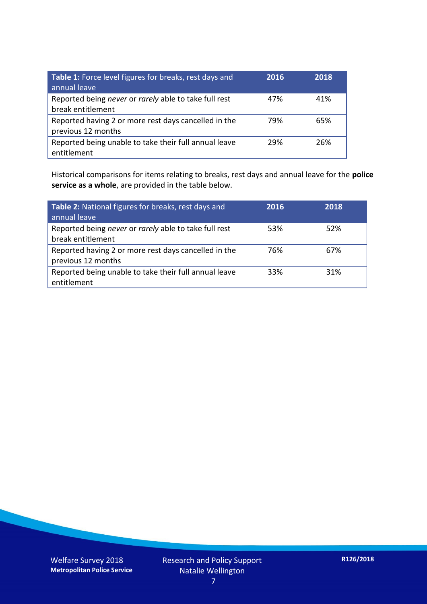| Table 1: Force level figures for breaks, rest days and<br>annual leave     | 2016 | 2018 |
|----------------------------------------------------------------------------|------|------|
| Reported being never or rarely able to take full rest<br>break entitlement | 47%  | 41%  |
| Reported having 2 or more rest days cancelled in the<br>previous 12 months | 79%  | 65%  |
| Reported being unable to take their full annual leave<br>entitlement       | 29%  | 26%  |

Historical comparisons for items relating to breaks, rest days and annual leave for the **police service as a whole**, are provided in the table below.

| Table 2: National figures for breaks, rest days and<br>annual leave        | 2016 | 2018 |
|----------------------------------------------------------------------------|------|------|
| Reported being never or rarely able to take full rest<br>break entitlement | 53%  | 52%  |
| Reported having 2 or more rest days cancelled in the<br>previous 12 months | 76%  | 67%  |
| Reported being unable to take their full annual leave<br>entitlement       | 33%  | 31%  |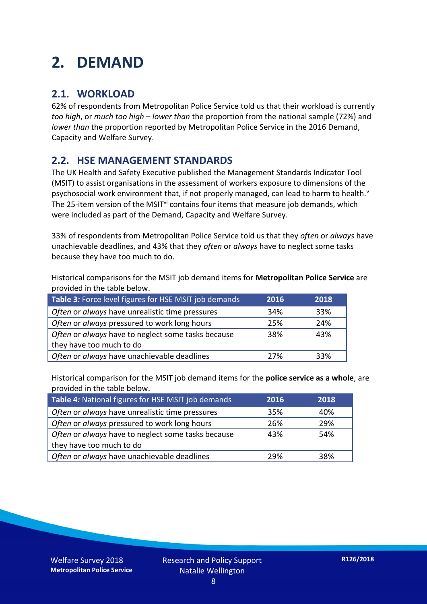## **2. DEMAND**

### **2.1. WORKLOAD**

62% of respondents from Metropolitan Police Service told us that their workload is currently *too high*, or *much too high* – *lower than* the proportion from the national sample (72%) and *lower than* the proportion reported by Metropolitan Police Service in the 2016 Demand, Capacity and Welfare Survey.

### **2.2. HSE MANAGEMENT STANDARDS**

The UK Health and Safety Executive published the Management Standards Indicator Tool (MSIT) to assist organisations in the assessment of workers exposure to dimensions of the psychosocial work environment that, if not properly managed, can lead to harm to health.<sup>v</sup> The 25-item version of the MSIT<sup>vi</sup> contains four items that measure job demands, which were included as part of the Demand, Capacity and Welfare Survey.

33% of respondents from Metropolitan Police Service told us that they *often* or *always* have unachievable deadlines, and 43% that they *often* or *always* have to neglect some tasks because they have too much to do.

Historical comparisons for the MSIT job demand items for **Metropolitan Police Service** are provided in the table below.

| Table 3: Force level figures for HSE MSIT job demands | 2016 | 2018 |
|-------------------------------------------------------|------|------|
| Often or always have unrealistic time pressures       | 34%  | 33%  |
| Often or always pressured to work long hours          | 25%  | 24%  |
| Often or always have to neglect some tasks because    | 38%  | 43%  |
| they have too much to do                              |      |      |
| Often or always have unachievable deadlines           | 27%  | 33%  |

Historical comparison for the MSIT job demand items for the **police service as a whole**, are provided in the table below.

| Table 4: National figures for HSE MSIT job demands | 2016 | 2018 |
|----------------------------------------------------|------|------|
| Often or always have unrealistic time pressures    | 35%  | 40%  |
| Often or always pressured to work long hours       | 26%  | 29%  |
| Often or always have to neglect some tasks because | 43%  | 54%  |
| they have too much to do                           |      |      |
| Often or always have unachievable deadlines        | 29%  | 38%  |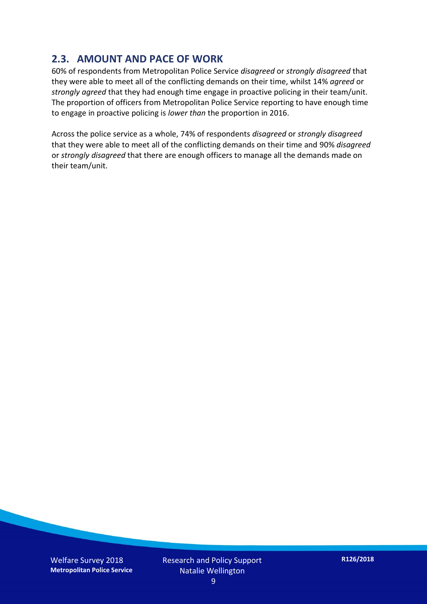### **2.3. AMOUNT AND PACE OF WORK**

60% of respondents from Metropolitan Police Service *disagreed* or *strongly disagreed* that they were able to meet all of the conflicting demands on their time, whilst 14% *agreed* or *strongly agreed* that they had enough time engage in proactive policing in their team/unit. The proportion of officers from Metropolitan Police Service reporting to have enough time to engage in proactive policing is *lower than* the proportion in 2016.

Across the police service as a whole, 74% of respondents *disagreed* or *strongly disagreed* that they were able to meet all of the conflicting demands on their time and 90% *disagreed* or *strongly disagreed* that there are enough officers to manage all the demands made on their team/unit.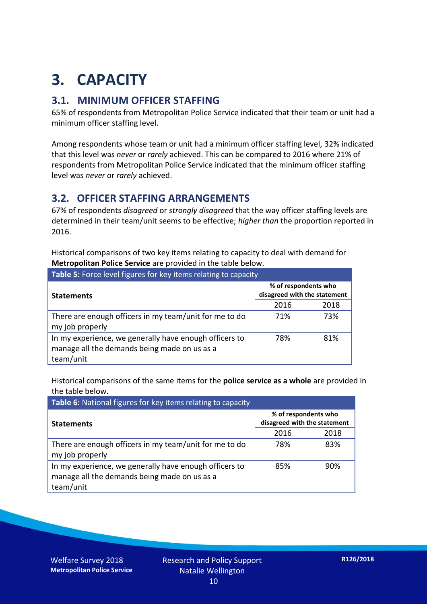## **3. CAPACITY**

### **3.1. MINIMUM OFFICER STAFFING**

65% of respondents from Metropolitan Police Service indicated that their team or unit had a minimum officer staffing level.

Among respondents whose team or unit had a minimum officer staffing level, 32% indicated that this level was *never* or *rarely* achieved. This can be compared to 2016 where 21% of respondents from Metropolitan Police Service indicated that the minimum officer staffing level was *never* or *rarely* achieved.

#### **3.2. OFFICER STAFFING ARRANGEMENTS**

67% of respondents *disagreed* or *strongly disagreed* that the way officer staffing levels are determined in their team/unit seems to be effective; *higher than* the proportion reported in 2016.

Historical comparisons of two key items relating to capacity to deal with demand for **Metropolitan Police Service** are provided in the table below.

| Table 5: Force level figures for key items relating to capacity                                                     |                                                      |      |  |
|---------------------------------------------------------------------------------------------------------------------|------------------------------------------------------|------|--|
| <b>Statements</b>                                                                                                   | % of respondents who<br>disagreed with the statement |      |  |
|                                                                                                                     | 2016                                                 | 2018 |  |
| There are enough officers in my team/unit for me to do<br>my job properly                                           | 71%                                                  | 73%  |  |
| In my experience, we generally have enough officers to<br>manage all the demands being made on us as a<br>team/unit | 78%                                                  | 81%  |  |

Historical comparisons of the same items for the **police service as a whole** are provided in the table below.

| Table 6: National figures for key items relating to capacity                                                        |                                                      |      |  |  |
|---------------------------------------------------------------------------------------------------------------------|------------------------------------------------------|------|--|--|
| <b>Statements</b>                                                                                                   | % of respondents who<br>disagreed with the statement |      |  |  |
|                                                                                                                     | 2016                                                 | 2018 |  |  |
| There are enough officers in my team/unit for me to do<br>my job properly                                           | 78%                                                  | 83%  |  |  |
| In my experience, we generally have enough officers to<br>manage all the demands being made on us as a<br>team/unit | 85%                                                  | 90%  |  |  |

Welfare Survey 2018 **Metropolitan Police Service**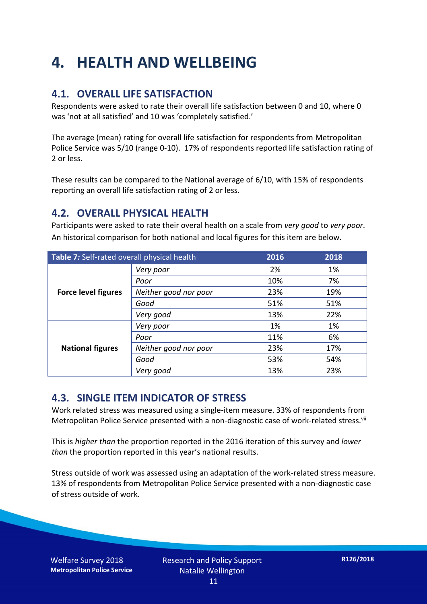## **4. HEALTH AND WELLBEING**

### **4.1. OVERALL LIFE SATISFACTION**

Respondents were asked to rate their overall life satisfaction between 0 and 10, where 0 was 'not at all satisfied' and 10 was 'completely satisfied.'

The average (mean) rating for overall life satisfaction for respondents from Metropolitan Police Service was 5/10 (range 0-10). 17% of respondents reported life satisfaction rating of 2 or less.

These results can be compared to the National average of 6/10, with 15% of respondents reporting an overall life satisfaction rating of 2 or less.

#### **4.2. OVERALL PHYSICAL HEALTH**

Participants were asked to rate their overal health on a scale from *very good* to *very poor*. An historical comparison for both national and local figures for this item are below.

| Table 7: Self-rated overall physical health |                       | 2016 | 2018 |
|---------------------------------------------|-----------------------|------|------|
| <b>Force level figures</b>                  | Very poor             | 2%   | 1%   |
|                                             | Poor                  | 10%  | 7%   |
|                                             | Neither good nor poor | 23%  | 19%  |
|                                             | Good                  | 51%  | 51%  |
|                                             | Very good             | 13%  | 22%  |
| <b>National figures</b>                     | Very poor             | 1%   | 1%   |
|                                             | Poor                  | 11%  | 6%   |
|                                             | Neither good nor poor | 23%  | 17%  |
|                                             | Good                  | 53%  | 54%  |
|                                             | Very good             | 13%  | 23%  |

### **4.3. SINGLE ITEM INDICATOR OF STRESS**

Work related stress was measured using a single-item measure. 33% of respondents from Metropolitan Police Service presented with a non-diagnostic case of work-related stress.<sup>vii</sup>

This is *higher than* the proportion reported in the 2016 iteration of this survey and *lower than* the proportion reported in this year's national results.

Stress outside of work was assessed using an adaptation of the work-related stress measure. 13% of respondents from Metropolitan Police Service presented with a non-diagnostic case of stress outside of work.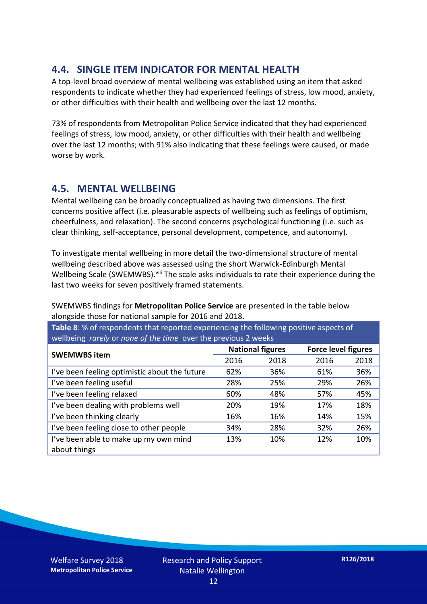### **4.4. SINGLE ITEM INDICATOR FOR MENTAL HEALTH**

A top-level broad overview of mental wellbeing was established using an item that asked respondents to indicate whether they had experienced feelings of stress, low mood, anxiety, or other difficulties with their health and wellbeing over the last 12 months.

73% of respondents from Metropolitan Police Service indicated that they had experienced feelings of stress, low mood, anxiety, or other difficulties with their health and wellbeing over the last 12 months; with 91% also indicating that these feelings were caused, or made worse by work.

### **4.5. MENTAL WELLBEING**

Mental wellbeing can be broadly conceptualized as having two dimensions. The first concerns positive affect (i.e. pleasurable aspects of wellbeing such as feelings of optimism, cheerfulness, and relaxation). The second concerns psychological functioning (i.e. such as clear thinking, self-acceptance, personal development, competence, and autonomy).

To investigate mental wellbeing in more detail the two-dimensional structure of mental wellbeing described above was assessed using the short Warwick-Edinburgh Mental Wellbeing Scale (SWEMWBS). viii The scale asks individuals to rate their experience during the last two weeks for seven positively framed statements.

SWEMWBS findings for **Metropolitan Police Service** are presented in the table below alongside those for national sample for 2016 and 2018.

**Table 8**: % of respondents that reported experiencing the following positive aspects of wellbeing *rarely* or *none of the time* over the previous 2 weeks

| <b>SWEMWBS item</b>                           | <b>National figures</b> |      | <b>Force level figures</b> |      |
|-----------------------------------------------|-------------------------|------|----------------------------|------|
|                                               | 2016                    | 2018 | 2016                       | 2018 |
| I've been feeling optimistic about the future | 62%                     | 36%  | 61%                        | 36%  |
| I've been feeling useful                      | 28%                     | 25%  | 29%                        | 26%  |
| I've been feeling relaxed                     | 60%                     | 48%  | 57%                        | 45%  |
| I've been dealing with problems well          | 20%                     | 19%  | 17%                        | 18%  |
| I've been thinking clearly                    | 16%                     | 16%  | 14%                        | 15%  |
| I've been feeling close to other people       | 34%                     | 28%  | 32%                        | 26%  |
| I've been able to make up my own mind         | 13%                     | 10%  | 12%                        | 10%  |
| about things                                  |                         |      |                            |      |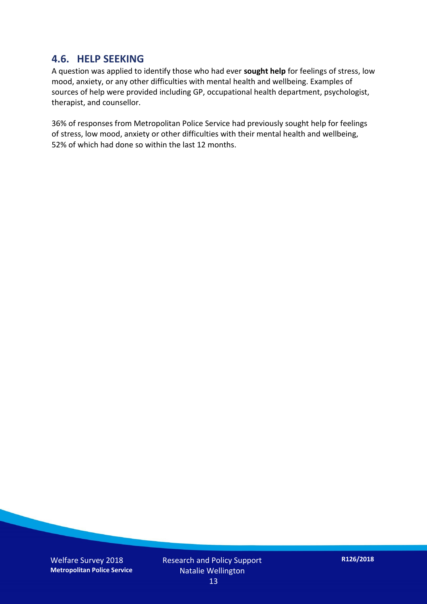#### **4.6. HELP SEEKING**

A question was applied to identify those who had ever **sought help** for feelings of stress, low mood, anxiety, or any other difficulties with mental health and wellbeing. Examples of sources of help were provided including GP, occupational health department, psychologist, therapist, and counsellor.

36% of responses from Metropolitan Police Service had previously sought help for feelings of stress, low mood, anxiety or other difficulties with their mental health and wellbeing, 52% of which had done so within the last 12 months.

Welfare Survey 2018 **Metropolitan Police Service** Research and Policy Support Natalie Wellington 13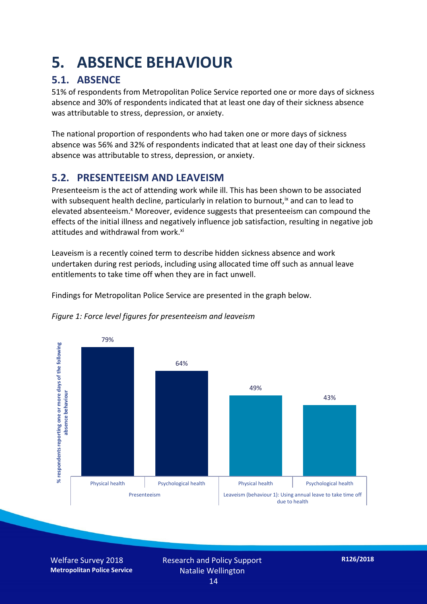## **5. ABSENCE BEHAVIOUR**

### **5.1. ABSENCE**

51% of respondents from Metropolitan Police Service reported one or more days of sickness absence and 30% of respondents indicated that at least one day of their sickness absence was attributable to stress, depression, or anxiety.

The national proportion of respondents who had taken one or more days of sickness absence was 56% and 32% of respondents indicated that at least one day of their sickness absence was attributable to stress, depression, or anxiety.

### **5.2. PRESENTEEISM AND LEAVEISM**

Presenteeism is the act of attending work while ill. This has been shown to be associated with subsequent health decline, particularly in relation to burnout,  $\alpha$  and can to lead to elevated absenteeism.<sup>x</sup> Moreover, evidence suggests that presenteeism can compound the effects of the initial illness and negatively influence job satisfaction, resulting in negative job attitudes and withdrawal from work.<sup>xi</sup>

Leaveism is a recently coined term to describe hidden sickness absence and work undertaken during rest periods, including using allocated time off such as annual leave entitlements to take time off when they are in fact unwell.

Findings for Metropolitan Police Service are presented in the graph below.



*Figure 1: Force level figures for presenteeism and leaveism*

Welfare Survey 2018 **Metropolitan Police Service** Research and Policy Support Natalie Wellington 14

**R126/2018**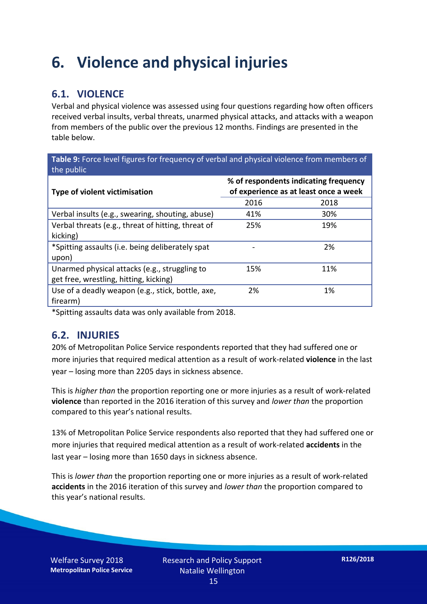## **6. Violence and physical injuries**

### **6.1. VIOLENCE**

Verbal and physical violence was assessed using four questions regarding how often officers received verbal insults, verbal threats, unarmed physical attacks, and attacks with a weapon from members of the public over the previous 12 months. Findings are presented in the table below.

**Table 9:** Force level figures for frequency of verbal and physical violence from members of the public

| Type of violent victimisation                      | % of respondents indicating frequency<br>of experience as at least once a week |      |  |
|----------------------------------------------------|--------------------------------------------------------------------------------|------|--|
|                                                    | 2016                                                                           | 2018 |  |
| Verbal insults (e.g., swearing, shouting, abuse)   | 41%                                                                            | 30%  |  |
| Verbal threats (e.g., threat of hitting, threat of | 25%                                                                            | 19%  |  |
| kicking)                                           |                                                                                |      |  |
| *Spitting assaults (i.e. being deliberately spat   |                                                                                | 2%   |  |
| upon)                                              |                                                                                |      |  |
| Unarmed physical attacks (e.g., struggling to      | 15%                                                                            | 11%  |  |
| get free, wrestling, hitting, kicking)             |                                                                                |      |  |
| Use of a deadly weapon (e.g., stick, bottle, axe,  | 2%                                                                             | 1%   |  |
| firearm)                                           |                                                                                |      |  |

\*Spitting assaults data was only available from 2018.

#### **6.2. INJURIES**

20% of Metropolitan Police Service respondents reported that they had suffered one or more injuries that required medical attention as a result of work-related **violence** in the last year – losing more than 2205 days in sickness absence.

This is *higher than* the proportion reporting one or more injuries as a result of work-related **violence** than reported in the 2016 iteration of this survey and *lower than* the proportion compared to this year's national results.

13% of Metropolitan Police Service respondents also reported that they had suffered one or more injuries that required medical attention as a result of work-related **accidents** in the last year – losing more than 1650 days in sickness absence.

This is *lower than* the proportion reporting one or more injuries as a result of work-related **accidents** in the 2016 iteration of this survey and *lower than* the proportion compared to this year's national results.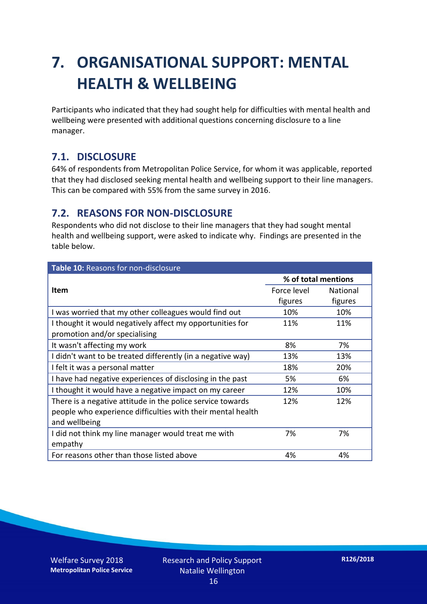## **7. ORGANISATIONAL SUPPORT: MENTAL HEALTH & WELLBEING**

Participants who indicated that they had sought help for difficulties with mental health and wellbeing were presented with additional questions concerning disclosure to a line manager.

#### **7.1. DISCLOSURE**

64% of respondents from Metropolitan Police Service, for whom it was applicable, reported that they had disclosed seeking mental health and wellbeing support to their line managers. This can be compared with 55% from the same survey in 2016.

#### **7.2. REASONS FOR NON-DISCLOSURE**

Respondents who did not disclose to their line managers that they had sought mental health and wellbeing support, were asked to indicate why. Findings are presented in the table below.

| <b>Table 10: Reasons for non-disclosure</b>                 |             |                     |  |
|-------------------------------------------------------------|-------------|---------------------|--|
|                                                             |             | % of total mentions |  |
| Item                                                        | Force level | National            |  |
|                                                             | figures     | figures             |  |
| I was worried that my other colleagues would find out       | 10%         | 10%                 |  |
| I thought it would negatively affect my opportunities for   | 11%         | 11%                 |  |
| promotion and/or specialising                               |             |                     |  |
| It wasn't affecting my work                                 | 8%          | 7%                  |  |
| I didn't want to be treated differently (in a negative way) | 13%         | 13%                 |  |
| I felt it was a personal matter                             | 18%         | 20%                 |  |
| I have had negative experiences of disclosing in the past   | 5%          | 6%                  |  |
| I thought it would have a negative impact on my career      | 12%         | 10%                 |  |
| There is a negative attitude in the police service towards  | 12%         | 12%                 |  |
| people who experience difficulties with their mental health |             |                     |  |
| and wellbeing                                               |             |                     |  |
| I did not think my line manager would treat me with         | 7%          | 7%                  |  |
| empathy                                                     |             |                     |  |
| For reasons other than those listed above                   | 4%          | 4%                  |  |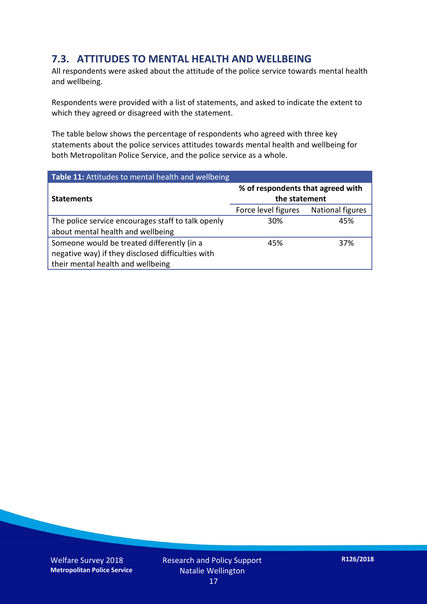### **7.3. ATTITUDES TO MENTAL HEALTH AND WELLBEING**

All respondents were asked about the attitude of the police service towards mental health and wellbeing.

Respondents were provided with a list of statements, and asked to indicate the extent to which they agreed or disagreed with the statement.

The table below shows the percentage of respondents who agreed with three key statements about the police services attitudes towards mental health and wellbeing for both Metropolitan Police Service, and the police service as a whole.

| Table 11: Attitudes to mental health and wellbeing |                                                    |                         |  |
|----------------------------------------------------|----------------------------------------------------|-------------------------|--|
| <b>Statements</b>                                  | % of respondents that agreed with<br>the statement |                         |  |
|                                                    | Force level figures                                | <b>National figures</b> |  |
| The police service encourages staff to talk openly | 30%                                                | 45%                     |  |
| about mental health and wellbeing                  |                                                    |                         |  |
| Someone would be treated differently (in a         | 45%                                                | 37%                     |  |
| negative way) if they disclosed difficulties with  |                                                    |                         |  |
| their mental health and wellbeing                  |                                                    |                         |  |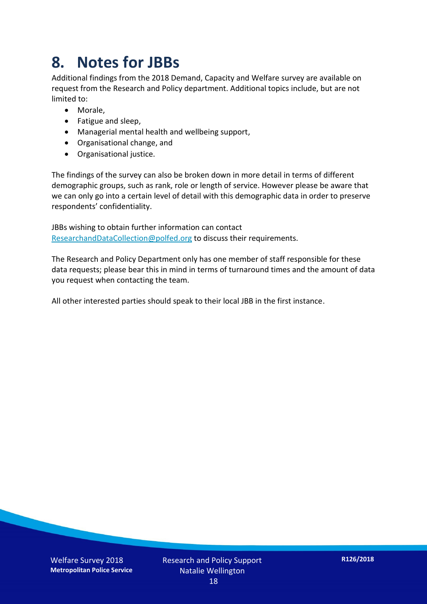## **8. Notes for JBBs**

Additional findings from the 2018 Demand, Capacity and Welfare survey are available on request from the Research and Policy department. Additional topics include, but are not limited to:

- Morale,
- Fatigue and sleep,
- Managerial mental health and wellbeing support,
- Organisational change, and
- Organisational justice.

The findings of the survey can also be broken down in more detail in terms of different demographic groups, such as rank, role or length of service. However please be aware that we can only go into a certain level of detail with this demographic data in order to preserve respondents' confidentiality.

JBBs wishing to obtain further information can contact [ResearchandDataCollection@polfed.org](mailto:ResearchandDataCollection@polfed.org) to discuss their requirements.

The Research and Policy Department only has one member of staff responsible for these data requests; please bear this in mind in terms of turnaround times and the amount of data you request when contacting the team.

All other interested parties should speak to their local JBB in the first instance.